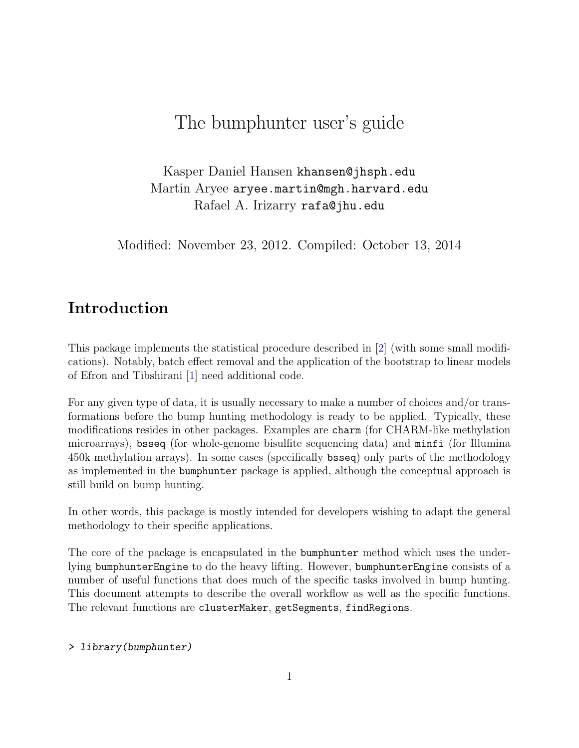# The bumphunter user's guide

Kasper Daniel Hansen khansen@jhsph.edu Martin Aryee aryee.martin@mgh.harvard.edu Rafael A. Irizarry rafa@jhu.edu

Modified: November 23, 2012. Compiled: October 13, 2014

## Introduction

This package implements the statistical procedure described in [\[2\]](#page-12-0) (with some small modifications). Notably, batch effect removal and the application of the bootstrap to linear models of Efron and Tibshirani [\[1\]](#page-12-1) need additional code.

For any given type of data, it is usually necessary to make a number of choices and/or transformations before the bump hunting methodology is ready to be applied. Typically, these modifications resides in other packages. Examples are charm (for CHARM-like methylation microarrays), bsseq (for whole-genome bisulfite sequencing data) and minfi (for Illumina 450k methylation arrays). In some cases (specifically bsseq) only parts of the methodology as implemented in the bumphunter package is applied, although the conceptual approach is still build on bump hunting.

In other words, this package is mostly intended for developers wishing to adapt the general methodology to their specific applications.

The core of the package is encapsulated in the bumphunter method which uses the underlying bumphunterEngine to do the heavy lifting. However, bumphunterEngine consists of a number of useful functions that does much of the specific tasks involved in bump hunting. This document attempts to describe the overall workflow as well as the specific functions. The relevant functions are clusterMaker, getSegments, findRegions.

#### > library(bumphunter)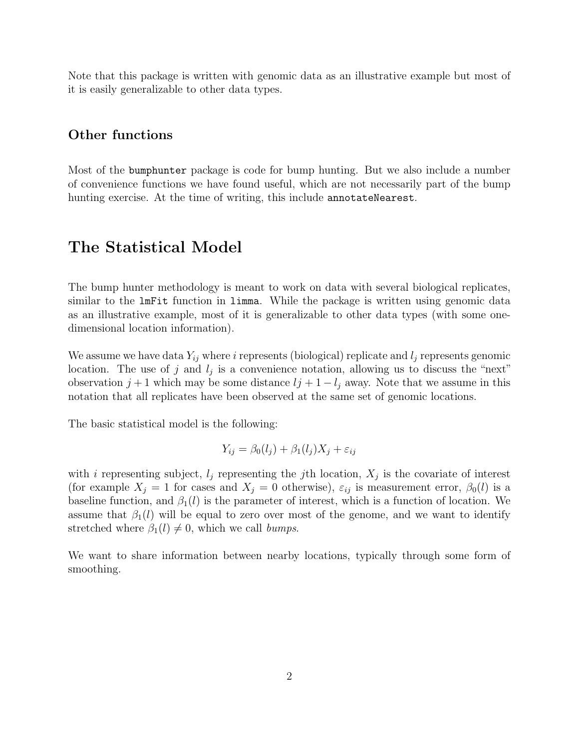Note that this package is written with genomic data as an illustrative example but most of it is easily generalizable to other data types.

### Other functions

Most of the bumphunter package is code for bump hunting. But we also include a number of convenience functions we have found useful, which are not necessarily part of the bump hunting exercise. At the time of writing, this include annotateNearest.

## The Statistical Model

The bump hunter methodology is meant to work on data with several biological replicates, similar to the lmFit function in limma. While the package is written using genomic data as an illustrative example, most of it is generalizable to other data types (with some onedimensional location information).

We assume we have data  $Y_{ij}$  where i represents (biological) replicate and  $l_j$  represents genomic location. The use of j and  $l_j$  is a convenience notation, allowing us to discuss the "next" observation  $j + 1$  which may be some distance  $lj + 1 - l_j$  away. Note that we assume in this notation that all replicates have been observed at the same set of genomic locations.

The basic statistical model is the following:

$$
Y_{ij} = \beta_0(l_j) + \beta_1(l_j)X_j + \varepsilon_{ij}
$$

with i representing subject,  $l_j$  representing the j<sup>th</sup> location,  $X_j$  is the covariate of interest (for example  $X_j = 1$  for cases and  $X_j = 0$  otherwise),  $\varepsilon_{ij}$  is measurement error,  $\beta_0(l)$  is a baseline function, and  $\beta_1(l)$  is the parameter of interest, which is a function of location. We assume that  $\beta_1(l)$  will be equal to zero over most of the genome, and we want to identify stretched where  $\beta_1(l) \neq 0$ , which we call bumps.

We want to share information between nearby locations, typically through some form of smoothing.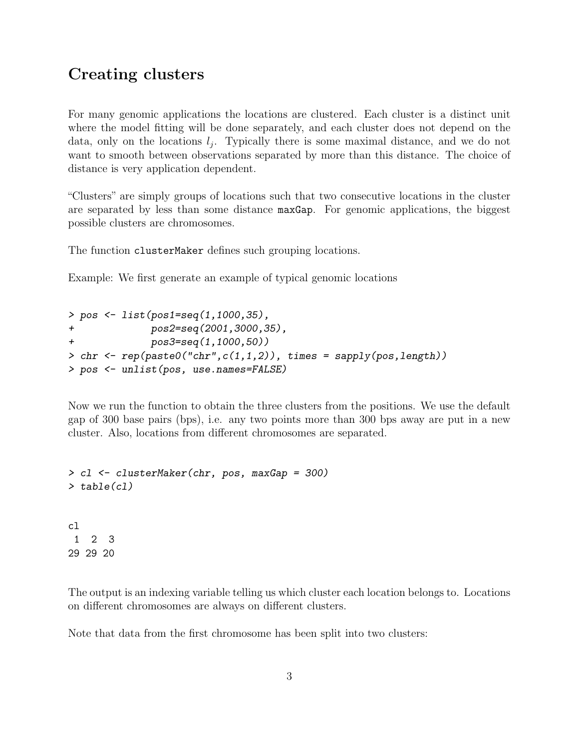## Creating clusters

For many genomic applications the locations are clustered. Each cluster is a distinct unit where the model fitting will be done separately, and each cluster does not depend on the data, only on the locations  $l_j$ . Typically there is some maximal distance, and we do not want to smooth between observations separated by more than this distance. The choice of distance is very application dependent.

"Clusters" are simply groups of locations such that two consecutive locations in the cluster are separated by less than some distance maxGap. For genomic applications, the biggest possible clusters are chromosomes.

The function clusterMaker defines such grouping locations.

Example: We first generate an example of typical genomic locations

```
> pos <- list(pos1=seq(1,1000,35),
+ pos2=seq(2001,3000,35),
+ pos3=seq(1,1000,50))
> chr <- rep(paste0("chr",c(1,1,2)), times = sapply(pos,length))
> pos <- unlist(pos, use.names=FALSE)
```
Now we run the function to obtain the three clusters from the positions. We use the default gap of 300 base pairs (bps), i.e. any two points more than 300 bps away are put in a new cluster. Also, locations from different chromosomes are separated.

```
> cl <- clusterMaker(chr, pos, maxGap = 300)
> table(cl)
cl
1 2 3
29 29 20
```
The output is an indexing variable telling us which cluster each location belongs to. Locations on different chromosomes are always on different clusters.

Note that data from the first chromosome has been split into two clusters: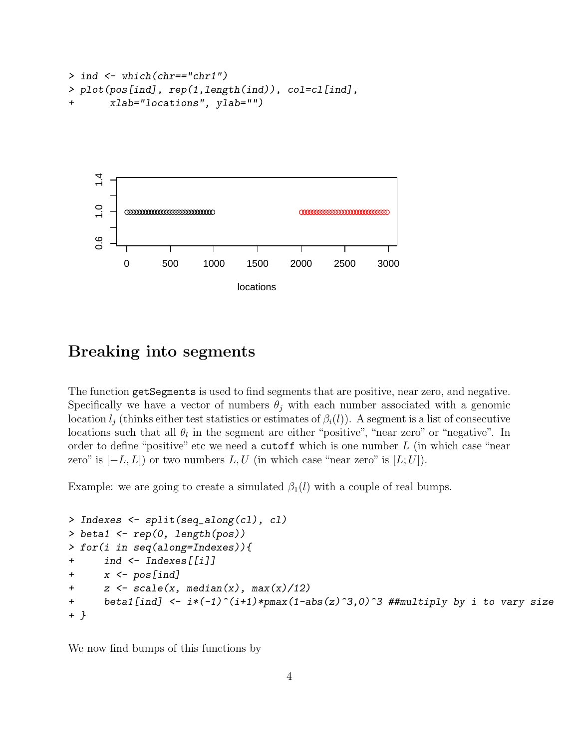```
> ind <- which(chr=="chr1")
> plot(pos[ind], rep(1,length(ind)), col=cl[ind],
+ xlab="locations", ylab="")
```


## Breaking into segments

The function getSegments is used to find segments that are positive, near zero, and negative. Specifically we have a vector of numbers  $\theta_i$  with each number associated with a genomic location  $l_j$  (thinks either test statistics or estimates of  $\beta_i(l)$ ). A segment is a list of consecutive locations such that all  $\theta_l$  in the segment are either "positive", "near zero" or "negative". In order to define "positive" etc we need a cutoff which is one number  $L$  (in which case "near zero" is  $[-L, L]$  or two numbers L, U (in which case "near zero" is  $[L; U]$ ).

Example: we are going to create a simulated  $\beta_1(l)$  with a couple of real bumps.

```
> Indexes <- split(seq_along(cl), cl)
> beta1 <- rep(0, length(pos))
> for(i in seq(along=Indexes)){
+ ind <- Indexes[[i]]
+ x <- pos[ind]
+ z \leftarrow scale(x, median(x), max(x)/12)+ beta1[ind] <- i*(-1)^(i+1)*pmax(1-abs(z)^3,0)^3 ##multiply by i to vary size
+ }
```
We now find bumps of this functions by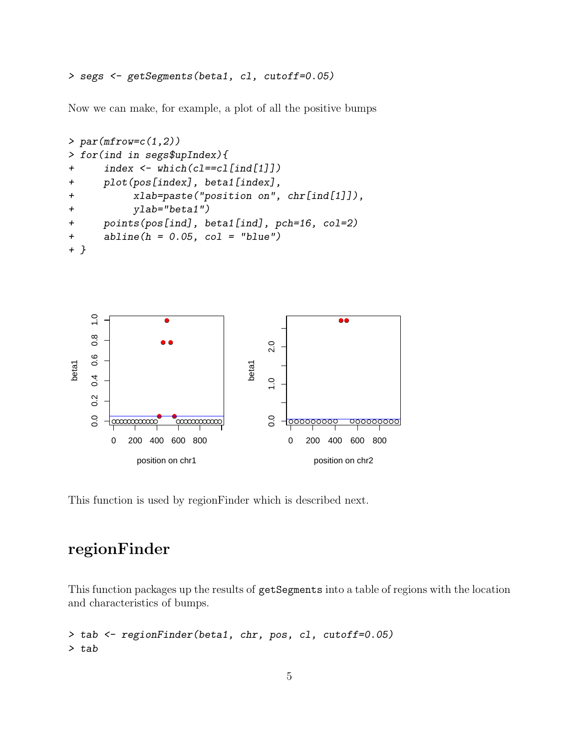> segs <- getSegments(beta1, cl, cutoff=0.05)

Now we can make, for example, a plot of all the positive bumps

```
> par(mfrow=c(1,2))> for(ind in segs$upIndex){
+ index <- which(cl==cl[ind[1]])
+ plot(pos[index], beta1[index],
+ xlab=paste("position on", chr[ind[1]]),
+ ylab="beta1")
+ points(pos[ind], beta1[ind], pch=16, col=2)
+ abline(h = 0.05, col = "blue")+ }
```


This function is used by regionFinder which is described next.

## regionFinder

This function packages up the results of getSegments into a table of regions with the location and characteristics of bumps.

```
> tab <- regionFinder(beta1, chr, pos, cl, cutoff=0.05)
> tab
```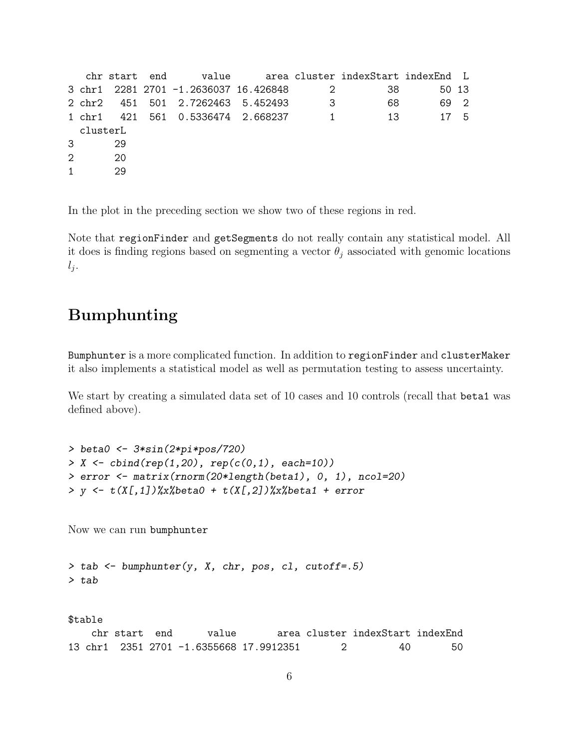```
chr start end value area cluster indexStart indexEnd L
3 chr1 2281 2701 -1.2636037 16.426848 2 38 50 13
2 chr2 451 501 2.7262463 5.452493 3 68 69 2
1 chr1 421 561 0.5336474 2.668237 1 13 17 5
 clusterL
3 29
2 20
1 29
```
In the plot in the preceding section we show two of these regions in red.

Note that regionFinder and getSegments do not really contain any statistical model. All it does is finding regions based on segmenting a vector  $\theta_j$  associated with genomic locations  $l_j$ .

## Bumphunting

Bumphunter is a more complicated function. In addition to regionFinder and clusterMaker it also implements a statistical model as well as permutation testing to assess uncertainty.

We start by creating a simulated data set of 10 cases and 10 controls (recall that beta1 was defined above).

```
> beta0 <- 3*sin(2*pi*pos/720)
> X \leftarrow \text{cbind}(\text{rep}(1, 20), \text{rep}(c(0, 1), \text{each=10}))> error <- matrix(rnorm(20*length(beta1), 0, 1), ncol=20)
> y <- t(X[,1])%x%beta0 + t(X[,2])%x%beta1 + error
```
Now we can run bumphunter

```
> tab \leq bumphunter(y, X, chr, pos, cl, cutoff=.5)
> tab
```
\$table chr start end value area cluster indexStart indexEnd 13 chr1 2351 2701 -1.6355668 17.9912351 2 40 50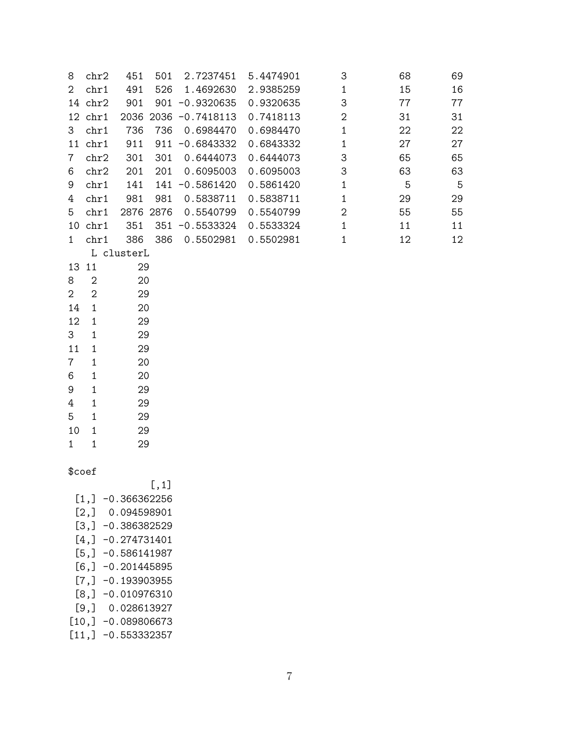| 8                   | chr2                | 451                 | 501   | 2.7237451            | 5.4474901 | 3              | 68          | 69 |
|---------------------|---------------------|---------------------|-------|----------------------|-----------|----------------|-------------|----|
| $\overline{2}$      | chr1                | 491                 | 526   | 1.4692630            | 2.9385259 | $\mathbf{1}$   | 15          | 16 |
|                     | 14 chr2             | 901                 |       | $901 - 0.9320635$    | 0.9320635 | 3              | 77          | 77 |
|                     | $12$ chr $1$        |                     |       | 2036 2036 -0.7418113 | 0.7418113 | $\overline{2}$ | 31          | 31 |
| 3                   | chr1                | 736                 | 736   | 0.6984470            | 0.6984470 | $\mathbf{1}$   | 22          | 22 |
|                     | $11$ chr $1$        | 911                 |       | $911 - 0.6843332$    | 0.6843332 | $\mathbf{1}$   | 27          | 27 |
| 7                   | chr2                | 301                 | 301   | 0.6444073            | 0.6444073 | 3              | 65          | 65 |
| 6                   | chr2                | 201                 | 201   | 0.6095003            | 0.6095003 | 3              | 63          | 63 |
| 9                   | chr1                | 141                 |       | 141 -0.5861420       | 0.5861420 | $\mathbf{1}$   | $\mathbf 5$ | 5  |
| 4                   | chr1                | 981                 | 981   | 0.5838711            | 0.5838711 | $\mathbf{1}$   | 29          | 29 |
| 5                   | chr1                | 2876 2876           |       | 0.5540799            | 0.5540799 | $\overline{2}$ | 55          | 55 |
|                     | $10$ chr $1$        | 351                 |       | 351 -0.5533324       | 0.5533324 | $\mathbf{1}$   | 11          | 11 |
| $\mathbf{1}$        | chr1                | 386                 | 386   | 0.5502981            | 0.5502981 | $\mathbf{1}$   | 12          | 12 |
|                     |                     | L clusterL          |       |                      |           |                |             |    |
|                     | 13 11               | 29                  |       |                      |           |                |             |    |
| 8                   | $\overline{2}$      | 20                  |       |                      |           |                |             |    |
| $\overline{2}$      | $\sqrt{2}$          | 29                  |       |                      |           |                |             |    |
| 14                  | $\mathbf{1}$        | 20                  |       |                      |           |                |             |    |
| 12                  | $\mathbf{1}$        | 29                  |       |                      |           |                |             |    |
| 3                   | $\mathbf 1$         | 29                  |       |                      |           |                |             |    |
| 11                  | $\mathbf{1}$        | 29                  |       |                      |           |                |             |    |
| 7                   | $\mathbf 1$         | 20                  |       |                      |           |                |             |    |
| 6                   | $\mathbf 1$         | 20                  |       |                      |           |                |             |    |
| 9                   | $\mathbf 1$         | 29                  |       |                      |           |                |             |    |
| 4                   | $\mathbf{1}$        | 29                  |       |                      |           |                |             |    |
| 5                   | $\mathbf{1}$        | 29                  |       |                      |           |                |             |    |
| 10                  | $\mathbf{1}$        | 29                  |       |                      |           |                |             |    |
| $\mathbf{1}$        | 1                   | 29                  |       |                      |           |                |             |    |
|                     |                     |                     |       |                      |           |                |             |    |
| \$coef              |                     |                     |       |                      |           |                |             |    |
|                     |                     |                     | [, 1] |                      |           |                |             |    |
| $[1,] -0.366362256$ |                     |                     |       |                      |           |                |             |    |
| $[2,]$ 0.094598901  |                     |                     |       |                      |           |                |             |    |
| $[3,] -0.386382529$ |                     |                     |       |                      |           |                |             |    |
| $[4,] -0.274731401$ |                     |                     |       |                      |           |                |             |    |
|                     | $[5,] -0.586141987$ |                     |       |                      |           |                |             |    |
| $[6,] -0.201445895$ |                     |                     |       |                      |           |                |             |    |
|                     |                     | $[7,] -0.193903955$ |       |                      |           |                |             |    |
|                     | $[8,] -0.010976310$ |                     |       |                      |           |                |             |    |

[9,] 0.028613927

- $[10,] -0.089806673$
- $[11,] -0.553332357$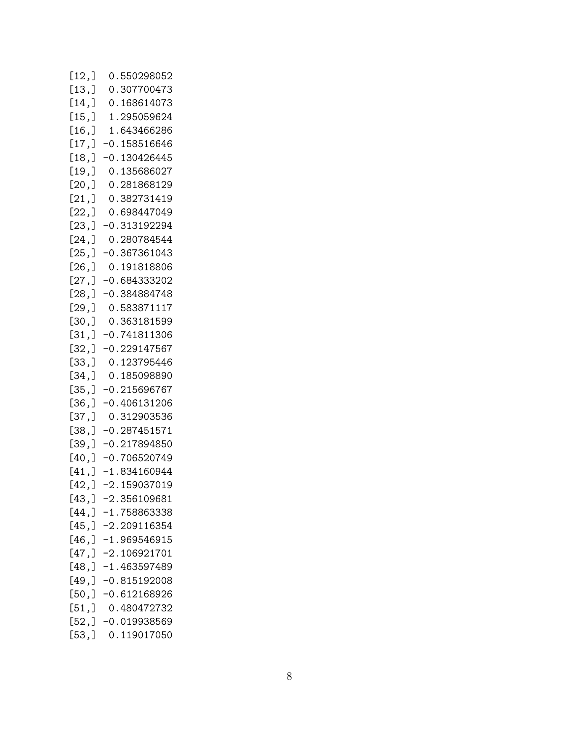| [12,]  | 0.550298052    |
|--------|----------------|
| [13,   | 0.307700473    |
| [14,   | 0.168614073    |
| [15,]  | 1.295059624    |
| [16,   | 1.643466286    |
| [17,   | $-0.158516646$ |
| [18, ] | $-0.130426445$ |
| [19,]  | 0.135686027    |
| [20, ] | 0.281868129    |
| [21,   | 0.382731419    |
| [22,]  | 0.698447049    |
| [23,]  | $-0.313192294$ |
| [24,]  | 0.280784544    |
| [25,]  | $-0.367361043$ |
| [26, ] | 0.191818806    |
| [27,]  | $-0.684333202$ |
| [28, ] | $-0.384884748$ |
| [29,]  | 0.583871117    |
| [30,]  | 0.363181599    |
| [31,   | $-0.741811306$ |
| [32,]  | $-0.229147567$ |
| [33,]  | 0.123795446    |
| [34,]  | 0.185098890    |
| [35, ] | $-0.215696767$ |
| [36,]  | $-0.406131206$ |
| [37,]  | 0.312903536    |
| [38,]  | $-0.287451571$ |
| [39,]  | $-0.217894850$ |
| [40, ] | $-0.706520749$ |
| [41,   | $-1.834160944$ |
| [42,]  | $-2.159037019$ |
| [43,]  | $-2.356109681$ |
| [44,   | $-1.758863338$ |
| [45,]  | -2.209116354   |
| [46, ] | $-1.969546915$ |
| [47,]  | $-2.106921701$ |
| [48, ] | $-1.463597489$ |
| [49,]  | $-0.815192008$ |
| [50,   | $-0.612168926$ |
| [51,]  | 0.480472732    |
| [52,]  | $-0.019938569$ |
| [53,]  | 0.119017050    |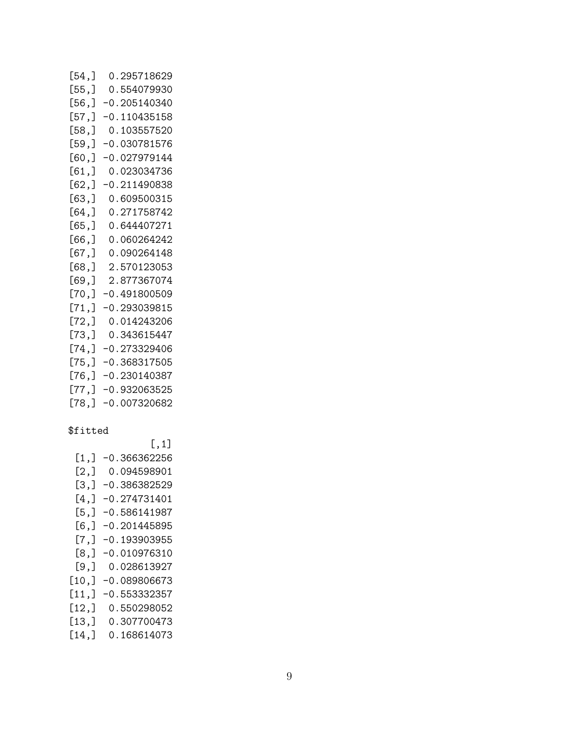| [54,   | 0.295718629    |
|--------|----------------|
| [55,]  | 0.554079930    |
| [56, ] | $-0.205140340$ |
| [57,]  | $-0.110435158$ |
| [58,]  | 0.103557520    |
| [59,]  | -0.030781576   |
| [60,]  | $-0.027979144$ |
| [61, ] | 0.023034736    |
| [62, ] | $-0.211490838$ |
| [63,]  | 0.609500315    |
| [64,]  | 0.271758742    |
| [65,]  | 0.644407271    |
| [66,]  | 0.060264242    |
| [67,]  | 0.090264148    |
| [68,]  | 2.570123053    |
| [69,]  | 2.877367074    |
| [70,]  | -0.491800509   |
| [71,]  | $-0.293039815$ |
| [72,]  | 0.014243206    |
| [73,]  | 0.343615447    |
| [74,]  | $-0.273329406$ |
| [75,]  | $-0.368317505$ |
| [76,]  | $-0.230140387$ |
| [77,]  | -0.932063525   |
| [78,]  | $-0.007320682$ |

### \$fitted

|       | $[$ ,1]        |
|-------|----------------|
|       |                |
| [1,]  | $-0.366362256$ |
| [2,]  | 0.094598901    |
| [3,]  | $-0.386382529$ |
| [4,]  | $-0.274731401$ |
| [5,]  | $-0.586141987$ |
| [6,]  | $-0.201445895$ |
| [7,]  | $-0.193903955$ |
| [8,]  | $-0.010976310$ |
| [9,]  | 0.028613927    |
| [10,] | $-0.089806673$ |
| [11,  | $-0.553332357$ |
| [12,] | 0.550298052    |
| [13,  | 0.307700473    |
| [14,  | 0.168614073    |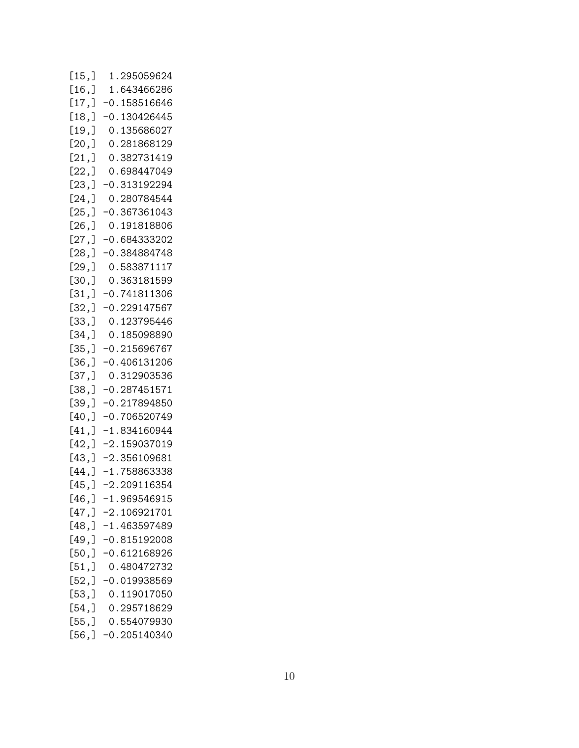| [15,     | 1.295059624    |
|----------|----------------|
| [16,     | 1.643466286    |
|          |                |
| [17,]    | $-0.158516646$ |
| [18, ]   | $-0.130426445$ |
|          |                |
| [19,     | 0.135686027    |
| [20,]    | 0.281868129    |
| [21,]    | 0.382731419    |
|          | 0.698447049    |
| [22,]    |                |
| [23, ]   | $-0.313192294$ |
| [24, ]   | 0.280784544    |
| [25,]    | $-0.367361043$ |
|          |                |
| [26, ]   | 0.191818806    |
| [27,]    | $-0.684333202$ |
| [28, ]   | -0.384884748   |
| [29, ]   | 0.583871117    |
|          |                |
| [30,]    | 0.363181599    |
| [31,]    | $-0.741811306$ |
| [32,]    | $-0.229147567$ |
| [33,]    | 0.123795446    |
|          |                |
| [34,]    | 0.185098890    |
| [35, ]   | $-0.215696767$ |
| [36,]    | $-0.406131206$ |
| [37,     | 0.312903536    |
| [38,]    | $-0.287451571$ |
|          |                |
| [39,]    | $-0.217894850$ |
| $[40,$ ] | $-0.706520749$ |
| [41,     | $-1.834160944$ |
| [42,]    | $-2.159037019$ |
| [43,]    | $-2.356109681$ |
|          |                |
| [44, ]   | $-1.758863338$ |
| $[45,$ ] | $-2.209116354$ |
| [46,]    | $-1.969546915$ |
| [47, ]   | $-2.106921701$ |
| [48,]    | $-1.463597489$ |
|          |                |
| [49, ]   | $-0.815192008$ |
| [50,]    | -0.612168926   |
| [51,]    | 0.480472732    |
| [52,]    | $-0.019938569$ |
|          |                |
| [53,]    | 0.119017050    |
| [54,     | 0.295718629    |
| [55,]    | 0.554079930    |
| [56,]    | $-0.205140340$ |
|          |                |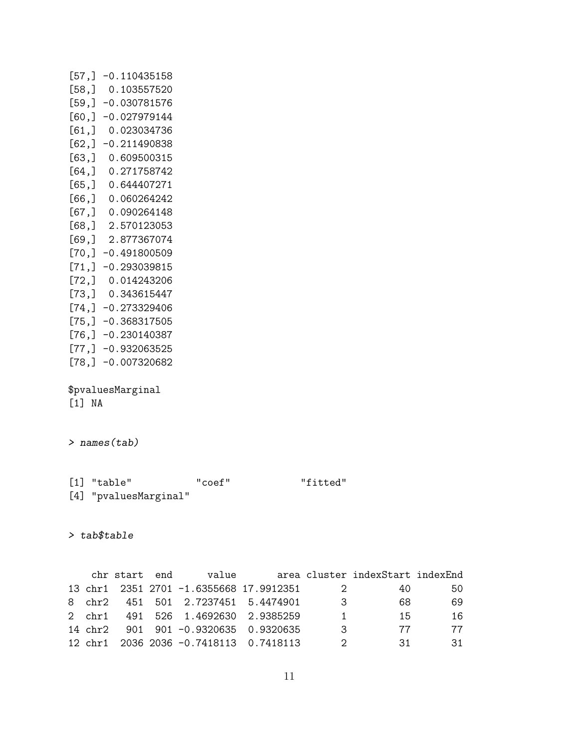| [57, ]                      | $-0.110435158$ |  |  |  |  |
|-----------------------------|----------------|--|--|--|--|
| [58,]                       | 0.103557520    |  |  |  |  |
| [59,]                       | -0.030781576   |  |  |  |  |
| [60,]                       | $-0.027979144$ |  |  |  |  |
| [61,]                       | 0.023034736    |  |  |  |  |
| [62,]                       | -0.211490838   |  |  |  |  |
| [63,]                       | 0.609500315    |  |  |  |  |
| [64,]                       | 0.271758742    |  |  |  |  |
| [65,]                       | 0.644407271    |  |  |  |  |
| [66,]                       | 0.060264242    |  |  |  |  |
| [67,]                       | 0.090264148    |  |  |  |  |
| [68,]                       | 2.570123053    |  |  |  |  |
| [69,]                       | 2.877367074    |  |  |  |  |
| [70,]                       | $-0.491800509$ |  |  |  |  |
| [71,                        | $-0.293039815$ |  |  |  |  |
| [72,]                       | 0.014243206    |  |  |  |  |
| [73,]                       | 0.343615447    |  |  |  |  |
| [74,]                       | -0.273329406   |  |  |  |  |
| [75,]                       | -0.368317505   |  |  |  |  |
| [76,]                       | $-0.230140387$ |  |  |  |  |
| [77,]                       | -0.932063525   |  |  |  |  |
| [78,]                       | $-0.007320682$ |  |  |  |  |
| \$pvaluesMarginal<br>[1] NA |                |  |  |  |  |

> names(tab)

[1] "table" "coef" "fitted" [4] "pvaluesMarginal"

> tab\$table

chr start end value area cluster indexStart indexEnd 13 chr1 2351 2701 -1.6355668 17.9912351 2 40 50 8 chr2 451 501 2.7237451 5.4474901 3 68 69 2 chr1 491 526 1.4692630 2.9385259 1 15 16 14 chr2 901 901 -0.9320635 0.9320635 3 77 77 12 chr1 2036 2036 -0.7418113 0.7418113 2 31 31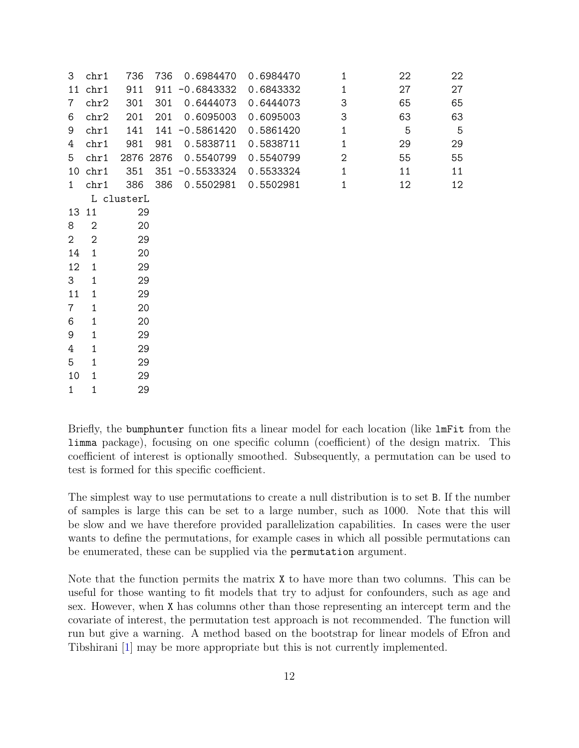| 3              | chr1           | 736        | 736       | 0.6984470         | 0.6984470 | 1              | 22 | 22 |
|----------------|----------------|------------|-----------|-------------------|-----------|----------------|----|----|
| 11             | chr1           | 911        |           | $911 - 0.6843332$ | 0.6843332 | 1              | 27 | 27 |
| 7              | chr2           | 301        | 301       | 0.6444073         | 0.6444073 | 3              | 65 | 65 |
| 6              | chr2           | 201        | 201       | 0.6095003         | 0.6095003 | 3              | 63 | 63 |
| 9              | chr1           | 141        |           | 141 -0.5861420    | 0.5861420 | $\mathbf{1}$   | 5  | 5  |
| 4              | chr1           | 981        | 981       | 0.5838711         | 0.5838711 | $\mathbf{1}$   | 29 | 29 |
| 5              | chr1           |            | 2876 2876 | 0.5540799         | 0.5540799 | $\overline{2}$ | 55 | 55 |
| 10             | chr1           | 351        |           | 351 -0.5533324    | 0.5533324 | $\mathbf{1}$   | 11 | 11 |
| $\mathbf{1}$   | chr1           | 386        | 386       | 0.5502981         | 0.5502981 | 1              | 12 | 12 |
|                |                | L clusterL |           |                   |           |                |    |    |
| 13             | 11             | 29         |           |                   |           |                |    |    |
| 8              | $\overline{2}$ | 20         |           |                   |           |                |    |    |
| $\overline{2}$ | $\overline{2}$ | 29         |           |                   |           |                |    |    |
| 14             | 1              | 20         |           |                   |           |                |    |    |
| 12             | 1              | 29         |           |                   |           |                |    |    |
| 3              | 1              | 29         |           |                   |           |                |    |    |
| 11             | 1              | 29         |           |                   |           |                |    |    |
| $\overline{7}$ | $\mathbf{1}$   | 20         |           |                   |           |                |    |    |
| 6              | 1              | 20         |           |                   |           |                |    |    |
| 9              | 1              | 29         |           |                   |           |                |    |    |
| 4              | 1              | 29         |           |                   |           |                |    |    |
| 5              | 1              | 29         |           |                   |           |                |    |    |
| 10             | 1              | 29         |           |                   |           |                |    |    |
| $\mathbf{1}$   | 1              | 29         |           |                   |           |                |    |    |

Briefly, the bumphunter function fits a linear model for each location (like lmFit from the limma package), focusing on one specific column (coefficient) of the design matrix. This coefficient of interest is optionally smoothed. Subsequently, a permutation can be used to test is formed for this specific coefficient.

The simplest way to use permutations to create a null distribution is to set B. If the number of samples is large this can be set to a large number, such as 1000. Note that this will be slow and we have therefore provided parallelization capabilities. In cases were the user wants to define the permutations, for example cases in which all possible permutations can be enumerated, these can be supplied via the permutation argument.

Note that the function permits the matrix X to have more than two columns. This can be useful for those wanting to fit models that try to adjust for confounders, such as age and sex. However, when X has columns other than those representing an intercept term and the covariate of interest, the permutation test approach is not recommended. The function will run but give a warning. A method based on the bootstrap for linear models of Efron and Tibshirani [\[1\]](#page-12-1) may be more appropriate but this is not currently implemented.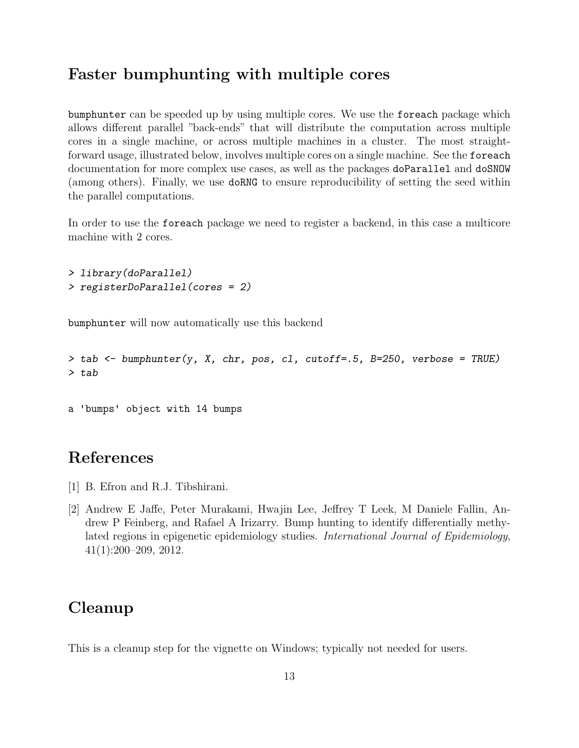## Faster bumphunting with multiple cores

bumphunter can be speeded up by using multiple cores. We use the foreach package which allows different parallel "back-ends" that will distribute the computation across multiple cores in a single machine, or across multiple machines in a cluster. The most straightforward usage, illustrated below, involves multiple cores on a single machine. See the foreach documentation for more complex use cases, as well as the packages doParallel and doSNOW (among others). Finally, we use doRNG to ensure reproducibility of setting the seed within the parallel computations.

In order to use the foreach package we need to register a backend, in this case a multicore machine with 2 cores.

```
> library(doParallel)
> registerDoParallel(cores = 2)
```
bumphunter will now automatically use this backend

```
> tab <- bumphunter(y, X, chr, pos, cl, cutoff=.5, B=250, verbose = TRUE)
> tab
```

```
a 'bumps' object with 14 bumps
```
### References

- <span id="page-12-1"></span>[1] B. Efron and R.J. Tibshirani.
- <span id="page-12-0"></span>[2] Andrew E Jaffe, Peter Murakami, Hwajin Lee, Jeffrey T Leek, M Daniele Fallin, Andrew P Feinberg, and Rafael A Irizarry. Bump hunting to identify differentially methylated regions in epigenetic epidemiology studies. International Journal of Epidemiology, 41(1):200–209, 2012.

### Cleanup

This is a cleanup step for the vignette on Windows; typically not needed for users.